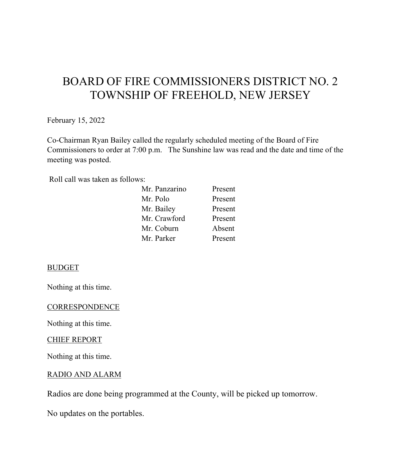# BOARD OF FIRE COMMISSIONERS DISTRICT NO. 2 TOWNSHIP OF FREEHOLD, NEW JERSEY

February 15, 2022

Co-Chairman Ryan Bailey called the regularly scheduled meeting of the Board of Fire Commissioners to order at 7:00 p.m. The Sunshine law was read and the date and time of the meeting was posted.

Roll call was taken as follows:

| Mr. Panzarino | Present |
|---------------|---------|
| Mr. Polo      | Present |
| Mr. Bailey    | Present |
| Mr. Crawford  | Present |
| Mr. Coburn    | Absent  |
| Mr. Parker    | Present |
|               |         |

#### BUDGET

Nothing at this time.

#### **CORRESPONDENCE**

Nothing at this time.

#### CHIEF REPORT

Nothing at this time.

#### RADIO AND ALARM

Radios are done being programmed at the County, will be picked up tomorrow.

No updates on the portables.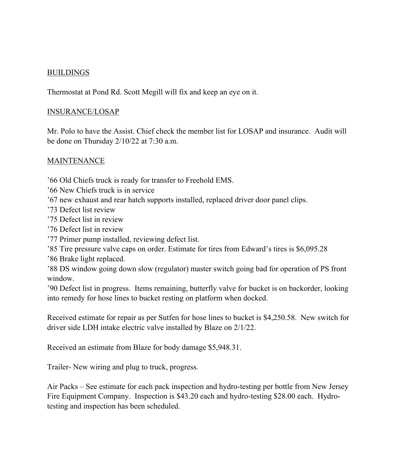# BUILDINGS

Thermostat at Pond Rd. Scott Megill will fix and keep an eye on it.

## INSURANCE/LOSAP

Mr. Polo to have the Assist. Chief check the member list for LOSAP and insurance. Audit will be done on Thursday 2/10/22 at 7:30 a.m.

# MAINTENANCE

'66 Old Chiefs truck is ready for transfer to Freehold EMS.

- '66 New Chiefs truck is in service
- '67 new exhaust and rear hatch supports installed, replaced driver door panel clips.
- '73 Defect list review
- '75 Defect list in review
- '76 Defect list in review
- '77 Primer pump installed, reviewing defect list.
- '85 Tire pressure valve caps on order. Estimate for tires from Edward's tires is \$6,095.28

'86 Brake light replaced.

'88 DS window going down slow (regulator) master switch going bad for operation of PS front window.

'90 Defect list in progress. Items remaining, butterfly valve for bucket is on backorder, looking into remedy for hose lines to bucket resting on platform when docked.

Received estimate for repair as per Sutfen for hose lines to bucket is \$4,250.58. New switch for driver side LDH intake electric valve installed by Blaze on 2/1/22.

Received an estimate from Blaze for body damage \$5,948.31.

Trailer- New wiring and plug to truck, progress.

Air Packs – See estimate for each pack inspection and hydro-testing per bottle from New Jersey Fire Equipment Company. Inspection is \$43.20 each and hydro-testing \$28.00 each. Hydrotesting and inspection has been scheduled.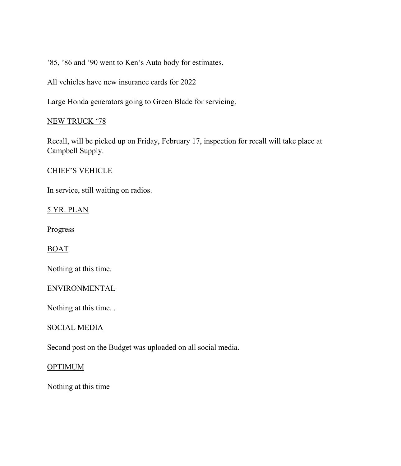'85, '86 and '90 went to Ken's Auto body for estimates.

All vehicles have new insurance cards for 2022

Large Honda generators going to Green Blade for servicing.

# NEW TRUCK '78

Recall, will be picked up on Friday, February 17, inspection for recall will take place at Campbell Supply.

#### CHIEF'S VEHICLE

In service, still waiting on radios.

#### 5 YR. PLAN

Progress

#### BOAT

Nothing at this time.

#### ENVIRONMENTAL

Nothing at this time. .

#### SOCIAL MEDIA

Second post on the Budget was uploaded on all social media.

#### **OPTIMUM**

Nothing at this time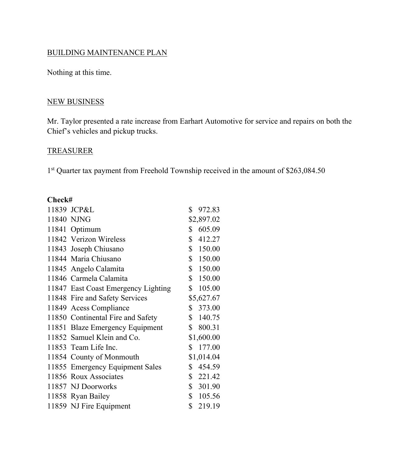# BUILDING MAINTENANCE PLAN

Nothing at this time.

# NEW BUSINESS

Mr. Taylor presented a rate increase from Earhart Automotive for service and repairs on both the Chief's vehicles and pickup trucks.

# TREASURER

1<sup>st</sup> Quarter tax payment from Freehold Township received in the amount of \$263,084.50

# **Check#**

| 11839 JCP&L                         | \$             | 972.83     |
|-------------------------------------|----------------|------------|
| 11840 NJNG                          |                | \$2,897.02 |
| 11841 Optimum                       | \$             | 605.09     |
| 11842 Verizon Wireless              | $\mathbb{S}^-$ | 412.27     |
| 11843 Joseph Chiusano               |                | \$150.00   |
| 11844 Maria Chiusano                |                | \$150.00   |
| 11845 Angelo Calamita               |                | \$150.00   |
| 11846 Carmela Calamita              |                | \$150.00   |
| 11847 East Coast Emergency Lighting |                | \$105.00   |
| 11848 Fire and Safety Services      |                | \$5,627.67 |
| 11849 Acess Compliance              |                | \$373.00   |
| 11850 Continental Fire and Safety   |                | \$140.75   |
| 11851 Blaze Emergency Equipment     |                | \$800.31   |
| 11852 Samuel Klein and Co.          |                | \$1,600.00 |
| 11853 Team Life Inc.                | $\mathbb{S}^-$ | 177.00     |
| 11854 County of Monmouth            |                | \$1,014.04 |
| 11855 Emergency Equipment Sales     |                | \$454.59   |
| 11856 Roux Associates               |                | \$221.42   |
| 11857 NJ Doorworks                  |                | \$301.90   |
| 11858 Ryan Bailey                   |                | \$105.56   |
| 11859 NJ Fire Equipment             | $\mathbb{S}$   | 219.19     |